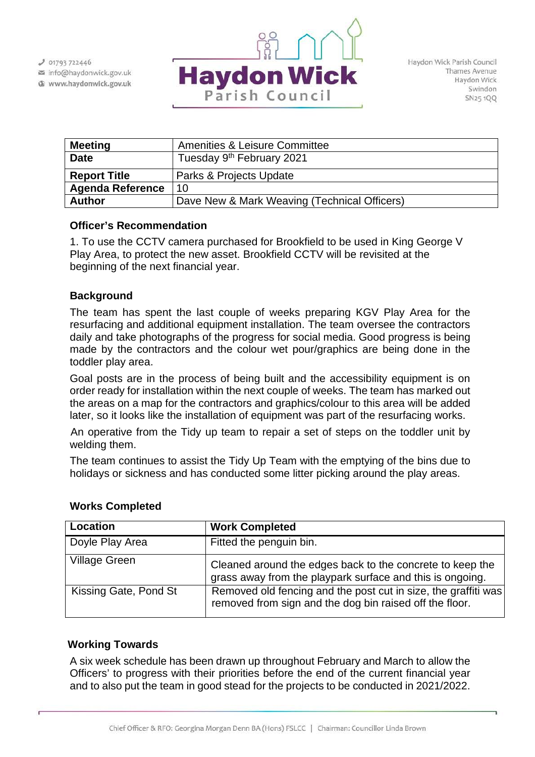$J$  01793 722446 info@haydonwick.gov.uk Www.haydonwick.gov.uk



| <b>Meeting</b>          | <b>Amenities &amp; Leisure Committee</b>     |
|-------------------------|----------------------------------------------|
| <b>Date</b>             | Tuesday 9 <sup>th</sup> February 2021        |
| <b>Report Title</b>     | Parks & Projects Update                      |
| <b>Agenda Reference</b> | 10                                           |
| <b>Author</b>           | Dave New & Mark Weaving (Technical Officers) |

### **Officer's Recommendation**

1. To use the CCTV camera purchased for Brookfield to be used in King George V Play Area, to protect the new asset. Brookfield CCTV will be revisited at the beginning of the next financial year.

## **Background**

The team has spent the last couple of weeks preparing KGV Play Area for the resurfacing and additional equipment installation. The team oversee the contractors daily and take photographs of the progress for social media. Good progress is being made by the contractors and the colour wet pour/graphics are being done in the toddler play area.

Goal posts are in the process of being built and the accessibility equipment is on order ready for installation within the next couple of weeks. The team has marked out the areas on a map for the contractors and graphics/colour to this area will be added later, so it looks like the installation of equipment was part of the resurfacing works.

An operative from the Tidy up team to repair a set of steps on the toddler unit by welding them.

The team continues to assist the Tidy Up Team with the emptying of the bins due to holidays or sickness and has conducted some litter picking around the play areas.

| Location              | <b>Work Completed</b>                                                                                                     |
|-----------------------|---------------------------------------------------------------------------------------------------------------------------|
| Doyle Play Area       | Fitted the penguin bin.                                                                                                   |
| <b>Village Green</b>  | Cleaned around the edges back to the concrete to keep the<br>grass away from the playpark surface and this is ongoing.    |
| Kissing Gate, Pond St | Removed old fencing and the post cut in size, the graffiti was<br>removed from sign and the dog bin raised off the floor. |

#### **Works Completed**

## **Working Towards**

A six week schedule has been drawn up throughout February and March to allow the Officers' to progress with their priorities before the end of the current financial year and to also put the team in good stead for the projects to be conducted in 2021/2022.